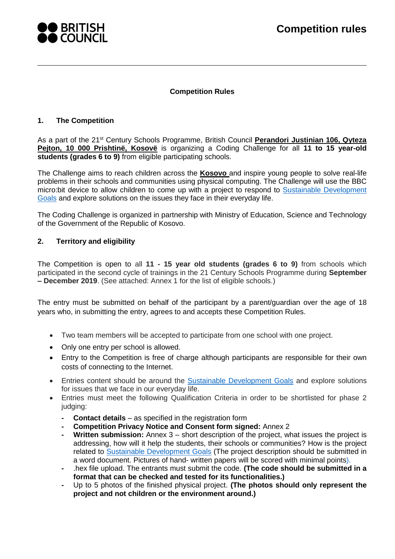

### **Competition Rules**

#### **1. The Competition**

As a part of the 21st Century Schools Programme, British Council **Perandori Justinian 106, Qyteza Pejton, 10 000 Prishtinë, Kosovë** is organizing a Coding Challenge for all **11 to 15 year-old students (grades 6 to 9)** from eligible participating schools.

The Challenge aims to reach children across the **Kosovo** and inspire young people to solve real-life problems in their schools and communities using physical computing. The Challenge will use the BBC micro:bit device to allow children to come up with a project to respond to [Sustainable Development](https://sustainabledevelopment.un.org/?menu=1300)  [Goals](https://sustainabledevelopment.un.org/?menu=1300) and explore solutions on the issues they face in their everyday life.

The Coding Challenge is organized in partnership with Ministry of Education, Science and Technology of the Government of the Republic of Kosovo.

### <span id="page-0-0"></span>**2. Territory and eligibility**

The Competition is open to all **11 - 15 year old students (grades 6 to 9)** from schools which participated in the second cycle of trainings in the 21 Century Schools Programme during **September – December 2019**. (See attached: Annex 1 for the list of eligible schools.)

The entry must be submitted on behalf of the participant by a parent/guardian over the age of 18 years who, in submitting the entry, agrees to and accepts these Competition Rules.

- Two team members will be accepted to participate from one school with one project.
- Only one entry per school is allowed.
- Entry to the Competition is free of charge although participants are responsible for their own costs of connecting to the Internet.
- Entries content should be around the **Sustainable Development Goals** and explore solutions for issues that we face in our everyday life.
- Entries must meet the following Qualification Criteria in order to be shortlisted for phase 2 judging:
	- **Contact details** as specified in the registration form
	- **- Competition Privacy Notice and Consent form signed:** Annex 2
	- **Written submission:** Annex 3 short description of the project, what issues the project is addressing, how will it help the students, their schools or communities? How is the project related to [Sustainable Development Goals](https://sustainabledevelopment.un.org/?menu=1300) (The project description should be submitted in a word document. Pictures of hand- written papers will be scored with minimal points).
	- **-** .hex file upload. The entrants must submit the code. **(The code should be submitted in a format that can be checked and tested for its functionalities.)**
	- **-** Up to 5 photos of the finished physical project. **(The photos should only represent the project and not children or the environment around.)**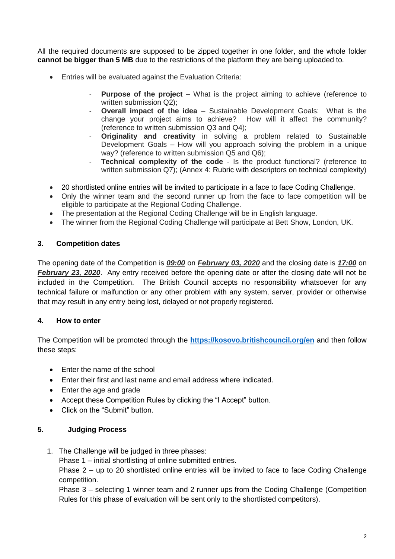All the required documents are supposed to be zipped together in one folder, and the whole folder **cannot be bigger than 5 MB** due to the restrictions of the platform they are being uploaded to.

- Entries will be evaluated against the Evaluation Criteria:
	- **Purpose of the project** What is the project aiming to achieve (reference to written submission Q2);
	- **Overall impact of the idea** Sustainable Development Goals: What is the change your project aims to achieve? How will it affect the community? (reference to written submission Q3 and Q4);
	- **Originality and creativity** in solving a problem related to Sustainable Development Goals – How will you approach solving the problem in a unique way? (reference to written submission Q5 and Q6);
		- **Technical complexity of the code** Is the product functional? (reference to written submission Q7); (Annex 4: Rubric with descriptors on technical complexity)
- 20 shortlisted online entries will be invited to participate in a face to face Coding Challenge.
- Only the winner team and the second runner up from the face to face competition will be eligible to participate at the Regional Coding Challenge.
- The presentation at the Regional Coding Challenge will be in English language.
- The winner from the Regional Coding Challenge will participate at Bett Show, London, UK.

### **3. Competition dates**

The opening date of the Competition is *09:00* on *February 03, 2020* and the closing date is *17:00* on *February 23, 2020*. Any entry received before the opening date or after the closing date will not be included in the Competition. The British Council accepts no responsibility whatsoever for any technical failure or malfunction or any other problem with any system, server, provider or otherwise that may result in any entry being lost, delayed or not properly registered.

## **4. How to enter**

The Competition will be promoted through the **<https://kosovo.britishcouncil.org/en>** and then follow these steps:

- Enter the name of the school
- Enter their first and last name and email address where indicated.
- Enter the age and grade
- Accept these Competition Rules by clicking the "I Accept" button.
- Click on the "Submit" button.

#### **5. Judging Process**

1. The Challenge will be judged in three phases:

Phase 1 – initial shortlisting of online submitted entries.

Phase 2 – up to 20 shortlisted online entries will be invited to face to face Coding Challenge competition.

Phase 3 – selecting 1 winner team and 2 runner ups from the Coding Challenge (Competition Rules for this phase of evaluation will be sent only to the shortlisted competitors).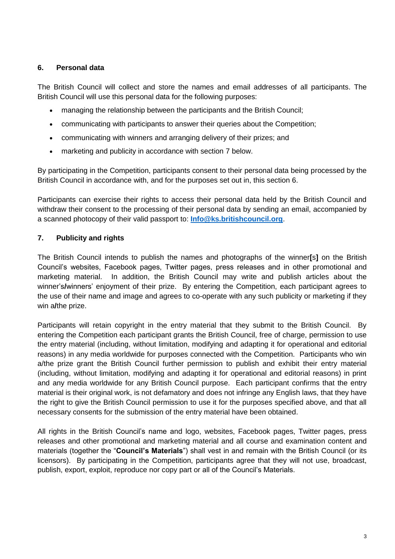## <span id="page-2-1"></span>**6. Personal data**

The British Council will collect and store the names and email addresses of all participants. The British Council will use this personal data for the following purposes:

- managing the relationship between the participants and the British Council;
- communicating with participants to answer their queries about the Competition;
- communicating with winners and arranging delivery of their prizes; and
- marketing and publicity in accordance with section [7](#page-2-0) below.

By participating in the Competition, participants consent to their personal data being processed by the British Council in accordance with, and for the purposes set out in, this section [6.](#page-2-1)

Participants can exercise their rights to access their personal data held by the British Council and withdraw their consent to the processing of their personal data by sending an email, accompanied by a scanned photocopy of their valid passport to: **[Info@ks.britishcouncil.org](mailto:Info@ks.britishcouncil.org)**.

# <span id="page-2-0"></span>**7. Publicity and rights**

The British Council intends to publish the names and photographs of the winner**[**s**]** on the British Council's websites, Facebook pages, Twitter pages, press releases and in other promotional and marketing material. In addition, the British Council may write and publish articles about the winner's**/**winners' enjoyment of their prize. By entering the Competition, each participant agrees to the use of their name and image and agrees to co-operate with any such publicity or marketing if they win a**/**the prize.

Participants will retain copyright in the entry material that they submit to the British Council. By entering the Competition each participant grants the British Council, free of charge, permission to use the entry material (including, without limitation, modifying and adapting it for operational and editorial reasons) in any media worldwide for purposes connected with the Competition. Participants who win a/the prize grant the British Council further permission to publish and exhibit their entry material (including, without limitation, modifying and adapting it for operational and editorial reasons) in print and any media worldwide for any British Council purpose. Each participant confirms that the entry material is their original work, is not defamatory and does not infringe any English laws, that they have the right to give the British Council permission to use it for the purposes specified above, and that all necessary consents for the submission of the entry material have been obtained.

All rights in the British Council's name and logo, websites, Facebook pages, Twitter pages, press releases and other promotional and marketing material and all course and examination content and materials (together the "**Council's Materials**") shall vest in and remain with the British Council (or its licensors). By participating in the Competition, participants agree that they will not use, broadcast, publish, export, exploit, reproduce nor copy part or all of the Council's Materials.